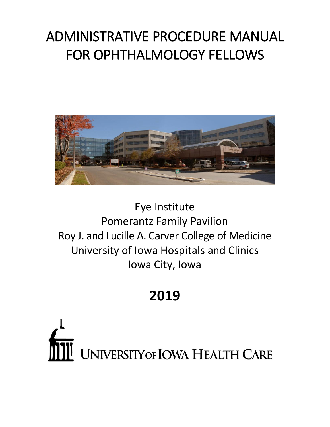# ADMINISTRATIVE PROCEDURE MANUAL FOR OPHTHALMOLOGY FELLOWS



Eye Institute Pomerantz Family Pavilion Roy J. and Lucille A. Carver College of Medicine University of Iowa Hospitals and Clinics Iowa City, Iowa

# **2019**

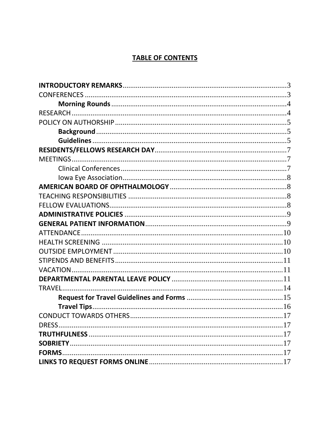# **TABLE OF CONTENTS**

| <b>FORMS</b> |  |
|--------------|--|
|              |  |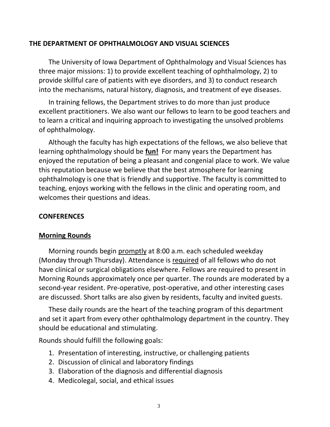## <span id="page-2-0"></span>**THE DEPARTMENT OF OPHTHALMOLOGY AND VISUAL SCIENCES**

The University of Iowa Department of Ophthalmology and Visual Sciences has three major missions: 1) to provide excellent teaching of ophthalmology, 2) to provide skillful care of patients with eye disorders, and 3) to conduct research into the mechanisms, natural history, diagnosis, and treatment of eye diseases.

In training fellows, the Department strives to do more than just produce excellent practitioners. We also want our fellows to learn to be good teachers and to learn a critical and inquiring approach to investigating the unsolved problems of ophthalmology.

Although the faculty has high expectations of the fellows, we also believe that learning ophthalmology should be **fun!** For many years the Department has enjoyed the reputation of being a pleasant and congenial place to work. We value this reputation because we believe that the best atmosphere for learning ophthalmology is one that is friendly and supportive. The faculty is committed to teaching, enjoys working with the fellows in the clinic and operating room, and welcomes their questions and ideas.

#### <span id="page-2-1"></span>**CONFERENCES**

#### **Morning Rounds**

Morning rounds begin promptly at 8:00 a.m. each scheduled weekday (Monday through Thursday). Attendance is required of all fellows who do not have clinical or surgical obligations elsewhere. Fellows are required to present in Morning Rounds approximately once per quarter. The rounds are moderated by a second-year resident. Pre-operative, post-operative, and other interesting cases are discussed. Short talks are also given by residents, faculty and invited guests.

These daily rounds are the heart of the teaching program of this department and set it apart from every other ophthalmology department in the country. They should be educational and stimulating.

Rounds should fulfill the following goals:

- 1. Presentation of interesting, instructive, or challenging patients
- 2. Discussion of clinical and laboratory findings
- 3. Elaboration of the diagnosis and differential diagnosis
- 4. Medicolegal, social, and ethical issues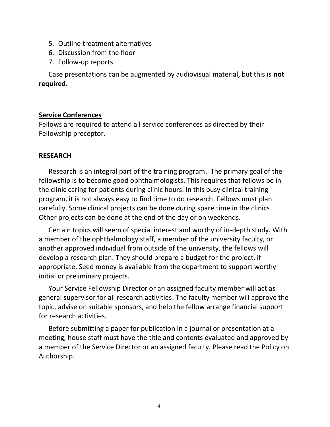- 5. Outline treatment alternatives
- 6. Discussion from the floor
- 7. Follow-up reports

Case presentations can be augmented by audiovisual material, but this is **not required**.

# <span id="page-3-0"></span>**Service Conferences**

Fellows are required to attend all service conferences as directed by their Fellowship preceptor.

## <span id="page-3-1"></span>**RESEARCH**

Research is an integral part of the training program. The primary goal of the fellowship is to become good ophthalmologists. This requires that fellows be in the clinic caring for patients during clinic hours. In this busy clinical training program, it is not always easy to find time to do research. Fellows must plan carefully. Some clinical projects can be done during spare time in the clinics. Other projects can be done at the end of the day or on weekends.

Certain topics will seem of special interest and worthy of in-depth study. With a member of the ophthalmology staff, a member of the university faculty, or another approved individual from outside of the university, the fellows will develop a research plan. They should prepare a budget for the project, if appropriate. Seed money is available from the department to support worthy initial or preliminary projects.

Your Service Fellowship Director or an assigned faculty member will act as general supervisor for all research activities. The faculty member will approve the topic, advise on suitable sponsors, and help the fellow arrange financial support for research activities.

Before submitting a paper for publication in a journal or presentation at a meeting, house staff must have the title and contents evaluated and approved by a member of the Service Director or an assigned faculty. Please read the Policy on Authorship.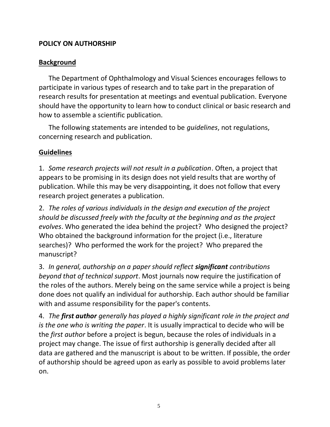# <span id="page-4-0"></span>**POLICY ON AUTHORSHIP**

# <span id="page-4-1"></span>**Background**

The Department of Ophthalmology and Visual Sciences encourages fellows to participate in various types of research and to take part in the preparation of research results for presentation at meetings and eventual publication. Everyone should have the opportunity to learn how to conduct clinical or basic research and how to assemble a scientific publication.

The following statements are intended to be *guidelines*, not regulations, concerning research and publication.

# <span id="page-4-2"></span>**Guidelines**

1. *Some research projects will not result in a publication*. Often, a project that appears to be promising in its design does not yield results that are worthy of publication. While this may be very disappointing, it does not follow that every research project generates a publication.

2. *The roles of various individuals in the design and execution of the project should be discussed freely with the faculty at the beginning and as the project evolves*. Who generated the idea behind the project? Who designed the project? Who obtained the background information for the project (i.e., literature searches)? Who performed the work for the project? Who prepared the manuscript?

3. *In general, authorship on a paper should reflect significant contributions beyond that of technical support*. Most journals now require the justification of the roles of the authors. Merely being on the same service while a project is being done does not qualify an individual for authorship. Each author should be familiar with and assume responsibility for the paper's contents.

4. *The first author generally has played a highly significant role in the project and is the one who is writing the paper*. It is usually impractical to decide who will be the *first author* before a project is begun, because the roles of individuals in a project may change. The issue of first authorship is generally decided after all data are gathered and the manuscript is about to be written. If possible, the order of authorship should be agreed upon as early as possible to avoid problems later on.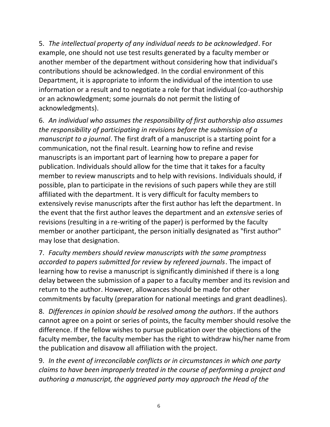5. *The intellectual property of any individual needs to be acknowledged*. For example, one should not use test results generated by a faculty member or another member of the department without considering how that individual's contributions should be acknowledged. In the cordial environment of this Department, it is appropriate to inform the individual of the intention to use information or a result and to negotiate a role for that individual (co-authorship or an acknowledgment; some journals do not permit the listing of acknowledgments).

6. *An individual who assumes the responsibility of first authorship also assumes the responsibility of participating in revisions before the submission of a manuscript to a journal*. The first draft of a manuscript is a starting point for a communication, not the final result. Learning how to refine and revise manuscripts is an important part of learning how to prepare a paper for publication. Individuals should allow for the time that it takes for a faculty member to review manuscripts and to help with revisions. Individuals should, if possible, plan to participate in the revisions of such papers while they are still affiliated with the department. It is very difficult for faculty members to extensively revise manuscripts after the first author has left the department. In the event that the first author leaves the department and an *extensive* series of revisions (resulting in a re-writing of the paper) is performed by the faculty member or another participant, the person initially designated as "first author" may lose that designation.

7. *Faculty members should review manuscripts with the same promptness accorded to papers submitted for review by refereed journals*. The impact of learning how to revise a manuscript is significantly diminished if there is a long delay between the submission of a paper to a faculty member and its revision and return to the author. However, allowances should be made for other commitments by faculty (preparation for national meetings and grant deadlines).

8. *Differences in opinion should be resolved among the authors*. If the authors cannot agree on a point or series of points, the faculty member should resolve the difference. If the fellow wishes to pursue publication over the objections of the faculty member, the faculty member has the right to withdraw his/her name from the publication and disavow all affiliation with the project.

9. *In the event of irreconcilable conflicts or in circumstances in which one party claims to have been improperly treated in the course of performing a project and authoring a manuscript, the aggrieved party may approach the Head of the*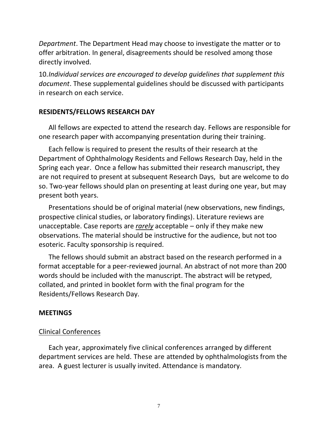*Department*. The Department Head may choose to investigate the matter or to offer arbitration. In general, disagreements should be resolved among those directly involved.

10.*Individual services are encouraged to develop guidelines that supplement this document*. These supplemental guidelines should be discussed with participants in research on each service.

#### <span id="page-6-0"></span>**RESIDENTS/FELLOWS RESEARCH DAY**

All fellows are expected to attend the research day. Fellows are responsible for one research paper with accompanying presentation during their training.

Each fellow is required to present the results of their research at the Department of Ophthalmology Residents and Fellows Research Day, held in the Spring each year. Once a fellow has submitted their research manuscript, they are not required to present at subsequent Research Days, but are welcome to do so. Two-year fellows should plan on presenting at least during one year, but may present both years.

Presentations should be of original material (new observations, new findings, prospective clinical studies, or laboratory findings). Literature reviews are unacceptable. Case reports are *rarely* acceptable – only if they make new observations. The material should be instructive for the audience, but not too esoteric. Faculty sponsorship is required.

The fellows should submit an abstract based on the research performed in a format acceptable for a peer-reviewed journal. An abstract of not more than 200 words should be included with the manuscript. The abstract will be retyped, collated, and printed in booklet form with the final program for the Residents/Fellows Research Day.

#### <span id="page-6-1"></span>**MEETINGS**

#### <span id="page-6-2"></span>Clinical Conferences

Each year, approximately five clinical conferences arranged by different department services are held. These are attended by ophthalmologists from the area. A guest lecturer is usually invited. Attendance is mandatory.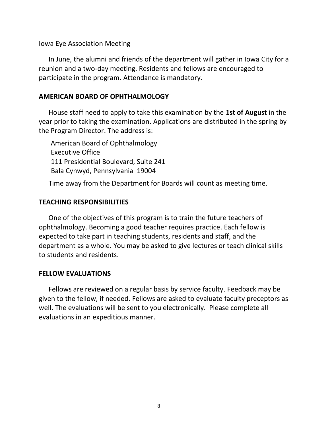## <span id="page-7-0"></span>Iowa Eye Association Meeting

In June, the alumni and friends of the department will gather in Iowa City for a reunion and a two-day meeting. Residents and fellows are encouraged to participate in the program. Attendance is mandatory.

## **AMERICAN BOARD OF OPHTHALMOLOGY**

House staff need to apply to take this examination by the **1st of August** in the year prior to taking the examination. Applications are distributed in the spring by the Program Director. The address is:

<span id="page-7-1"></span>American Board of Ophthalmology Executive Office 111 Presidential Boulevard, Suite 241 Bala Cynwyd, Pennsylvania 19004

<span id="page-7-2"></span>Time away from the Department for Boards will count as meeting time.

## **TEACHING RESPONSIBILITIES**

One of the objectives of this program is to train the future teachers of ophthalmology. Becoming a good teacher requires practice. Each fellow is expected to take part in teaching students, residents and staff, and the department as a whole. You may be asked to give lectures or teach clinical skills to students and residents.

#### <span id="page-7-3"></span>**FELLOW EVALUATIONS**

Fellows are reviewed on a regular basis by service faculty. Feedback may be given to the fellow, if needed. Fellows are asked to evaluate faculty preceptors as well. The evaluations will be sent to you electronically. Please complete all evaluations in an expeditious manner.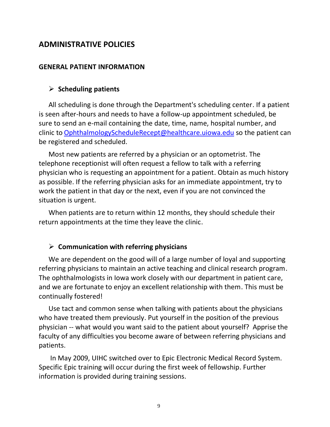# <span id="page-8-0"></span>**ADMINISTRATIVE POLICIES**

#### **GENERAL PATIENT INFORMATION**

## <span id="page-8-1"></span>➢ **Scheduling patients**

All scheduling is done through the Department's scheduling center. If a patient is seen after-hours and needs to have a follow-up appointment scheduled, be sure to send an e-mail containing the date, time, name, hospital number, and clinic to [OphthalmologyScheduleRecept@healthcare.uiowa.edu](mailto:OphthalmologyScheduleRecept@healthcare.uiowa.edu) so the patient can be registered and scheduled.

Most new patients are referred by a physician or an optometrist. The telephone receptionist will often request a fellow to talk with a referring physician who is requesting an appointment for a patient. Obtain as much history as possible. If the referring physician asks for an immediate appointment, try to work the patient in that day or the next, even if you are not convinced the situation is urgent.

When patients are to return within 12 months, they should schedule their return appointments at the time they leave the clinic.

#### ➢ **Communication with referring physicians**

We are dependent on the good will of a large number of loyal and supporting referring physicians to maintain an active teaching and clinical research program. The ophthalmologists in Iowa work closely with our department in patient care, and we are fortunate to enjoy an excellent relationship with them. This must be continually fostered!

Use tact and common sense when talking with patients about the physicians who have treated them previously. Put yourself in the position of the previous physician -- what would you want said to the patient about yourself? Apprise the faculty of any difficulties you become aware of between referring physicians and patients.

In May 2009, UIHC switched over to Epic Electronic Medical Record System. Specific Epic training will occur during the first week of fellowship. Further information is provided during training sessions.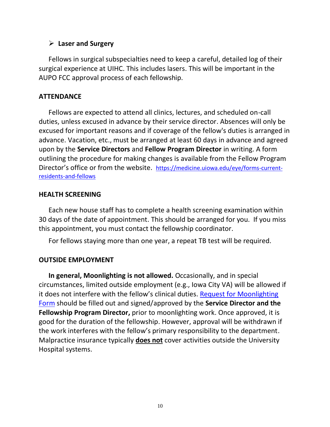# ➢ **Laser and Surgery**

Fellows in surgical subspecialties need to keep a careful, detailed log of their surgical experience at UIHC. This includes lasers. This will be important in the AUPO FCC approval process of each fellowship.

# <span id="page-9-0"></span>**ATTENDANCE**

Fellows are expected to attend all clinics, lectures, and scheduled on-call duties, unless excused in advance by their service director. Absences will only be excused for important reasons and if coverage of the fellow's duties is arranged in advance. Vacation, etc., must be arranged at least 60 days in advance and agreed upon by the **Service Directors** and **Fellow Program Director** in writing. A form outlining the procedure for making changes is available from the Fellow Program Director's office or from the website. [https://medicine.uiowa.edu/eye/forms-current](https://medicine.uiowa.edu/eye/forms-current-residents-and-fellows)[residents-and-fellows](https://medicine.uiowa.edu/eye/forms-current-residents-and-fellows)

## <span id="page-9-1"></span>**HEALTH SCREENING**

Each new house staff has to complete a health screening examination within 30 days of the date of appointment. This should be arranged for you. If you miss this appointment, you must contact the fellowship coordinator.

<span id="page-9-2"></span>For fellows staying more than one year, a repeat TB test will be required.

# **OUTSIDE EMPLOYMENT**

**In general, Moonlighting is not allowed.** Occasionally, and in special circumstances, limited outside employment (e.g., Iowa City VA) will be allowed if it does not interfere with the fellow's clinical duties. [Request for Moonlighting](https://medicine.uiowa.edu/eye/forms-current-residents-and-fellows)  [Form](https://medicine.uiowa.edu/eye/forms-current-residents-and-fellows) should be filled out and signed/approved by the **Service Director and the Fellowship Program Director,** prior to moonlighting work. Once approved, it is good for the duration of the fellowship. However, approval will be withdrawn if the work interferes with the fellow's primary responsibility to the department. Malpractice insurance typically **does not** cover activities outside the University Hospital systems.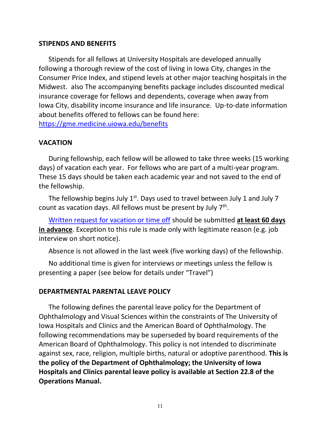## <span id="page-10-0"></span>**STIPENDS AND BENEFITS**

Stipends for all fellows at University Hospitals are developed annually following a thorough review of the cost of living in Iowa City, changes in the Consumer Price Index, and stipend levels at other major teaching hospitals in the Midwest. also The accompanying benefits package includes discounted medical insurance coverage for fellows and dependents, coverage when away from Iowa City, disability income insurance and life insurance. Up-to-date information about benefits offered to fellows can be found here: <https://gme.medicine.uiowa.edu/benefits>

## <span id="page-10-1"></span>**VACATION**

During fellowship, each fellow will be allowed to take three weeks (15 working days) of vacation each year. For fellows who are part of a multi-year program. These 15 days should be taken each academic year and not saved to the end of the fellowship.

The fellowship begins July  $1<sup>st</sup>$ . Days used to travel between July 1 and July 7 count as vacation days. All fellows must be present by July 7<sup>th</sup>.

[Written request for vacation or time off](https://medicine.uiowa.edu/eye/forms-current-residents-and-fellows) should be submitted **at least 60 days in advance**. Exception to this rule is made only with legitimate reason (e.g. job interview on short notice).

<span id="page-10-2"></span>Absence is not allowed in the last week (five working days) of the fellowship.

No additional time is given for interviews or meetings unless the fellow is presenting a paper (see below for details under "Travel")

#### **DEPARTMENTAL PARENTAL LEAVE POLICY**

The following defines the parental leave policy for the Department of Ophthalmology and Visual Sciences within the constraints of The University of Iowa Hospitals and Clinics and the American Board of Ophthalmology. The following recommendations may be superseded by board requirements of the American Board of Ophthalmology. This policy is not intended to discriminate against sex, race, religion, multiple births, natural or adoptive parenthood. **This is the policy of the Department of Ophthalmology; the University of Iowa Hospitals and Clinics parental leave policy is available at Section 22.8 of the Operations Manual.**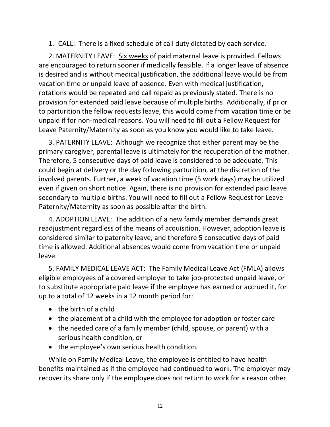1. CALL: There is a fixed schedule of call duty dictated by each service.

2. MATERNITY LEAVE: Six weeks of paid maternal leave is provided. Fellows are encouraged to return sooner if medically feasible. If a longer leave of absence is desired and is without medical justification, the additional leave would be from vacation time or unpaid leave of absence. Even with medical justification, rotations would be repeated and call repaid as previously stated. There is no provision for extended paid leave because of multiple births. Additionally, if prior to parturition the fellow requests leave, this would come from vacation time or be unpaid if for non-medical reasons. You will need to fill out a Fellow Request for Leave Paternity/Maternity as soon as you know you would like to take leave.

3. PATERNITY LEAVE: Although we recognize that either parent may be the primary caregiver, parental leave is ultimately for the recuperation of the mother. Therefore, 5 consecutive days of paid leave is considered to be adequate. This could begin at delivery or the day following parturition, at the discretion of the involved parents. Further, a week of vacation time (5 work days) may be utilized even if given on short notice. Again, there is no provision for extended paid leave secondary to multiple births. You will need to fill out a Fellow Request for Leave Paternity/Maternity as soon as possible after the birth.

4. ADOPTION LEAVE: The addition of a new family member demands great readjustment regardless of the means of acquisition. However, adoption leave is considered similar to paternity leave, and therefore 5 consecutive days of paid time is allowed. Additional absences would come from vacation time or unpaid leave.

5. FAMILY MEDICAL LEAVE ACT: The Family Medical Leave Act (FMLA) allows eligible employees of a covered employer to take job-protected unpaid leave, or to substitute appropriate paid leave if the employee has earned or accrued it, for up to a total of 12 weeks in a 12 month period for:

- the birth of a child
- the placement of a child with the employee for adoption or foster care
- the needed care of a family member (child, spouse, or parent) with a serious health condition, or
- the employee's own serious health condition.

While on Family Medical Leave, the employee is entitled to have health benefits maintained as if the employee had continued to work. The employer may recover its share only if the employee does not return to work for a reason other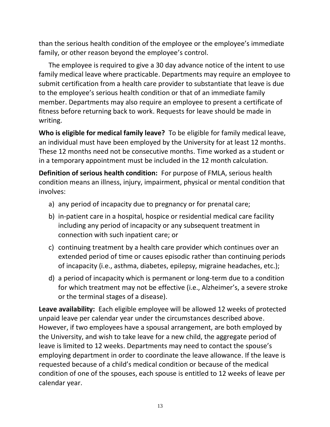than the serious health condition of the employee or the employee's immediate family, or other reason beyond the employee's control.

The employee is required to give a 30 day advance notice of the intent to use family medical leave where practicable. Departments may require an employee to submit certification from a health care provider to substantiate that leave is due to the employee's serious health condition or that of an immediate family member. Departments may also require an employee to present a certificate of fitness before returning back to work. Requests for leave should be made in writing.

**Who is eligible for medical family leave?** To be eligible for family medical leave, an individual must have been employed by the University for at least 12 months. These 12 months need not be consecutive months. Time worked as a student or in a temporary appointment must be included in the 12 month calculation.

**Definition of serious health condition:** For purpose of FMLA, serious health condition means an illness, injury, impairment, physical or mental condition that involves:

- a) any period of incapacity due to pregnancy or for prenatal care;
- b) in-patient care in a hospital, hospice or residential medical care facility including any period of incapacity or any subsequent treatment in connection with such inpatient care; or
- c) continuing treatment by a health care provider which continues over an extended period of time or causes episodic rather than continuing periods of incapacity (i.e., asthma, diabetes, epilepsy, migraine headaches, etc.);
- d) a period of incapacity which is permanent or long-term due to a condition for which treatment may not be effective (i.e., Alzheimer's, a severe stroke or the terminal stages of a disease).

**Leave availability:** Each eligible employee will be allowed 12 weeks of protected unpaid leave per calendar year under the circumstances described above. However, if two employees have a spousal arrangement, are both employed by the University, and wish to take leave for a new child, the aggregate period of leave is limited to 12 weeks. Departments may need to contact the spouse's employing department in order to coordinate the leave allowance. If the leave is requested because of a child's medical condition or because of the medical condition of one of the spouses, each spouse is entitled to 12 weeks of leave per calendar year.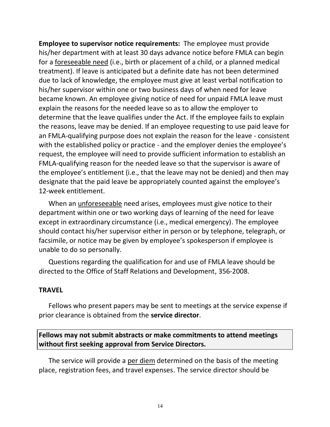**Employee to supervisor notice requirements:** The employee must provide his/her department with at least 30 days advance notice before FMLA can begin for a foreseeable need (i.e., birth or placement of a child, or a planned medical treatment). If leave is anticipated but a definite date has not been determined due to lack of knowledge, the employee must give at least verbal notification to his/her supervisor within one or two business days of when need for leave became known. An employee giving notice of need for unpaid FMLA leave must explain the reasons for the needed leave so as to allow the employer to determine that the leave qualifies under the Act. If the employee fails to explain the reasons, leave may be denied. If an employee requesting to use paid leave for an FMLA-qualifying purpose does not explain the reason for the leave - consistent with the established policy or practice - and the employer denies the employee's request, the employee will need to provide sufficient information to establish an FMLA-qualifying reason for the needed leave so that the supervisor is aware of the employee's entitlement (i.e., that the leave may not be denied) and then may designate that the paid leave be appropriately counted against the employee's 12-week entitlement.

When an unforeseeable need arises, employees must give notice to their department within one or two working days of learning of the need for leave except in extraordinary circumstance (i.e., medical emergency). The employee should contact his/her supervisor either in person or by telephone, telegraph, or facsimile, or notice may be given by employee's spokesperson if employee is unable to do so personally.

Questions regarding the qualification for and use of FMLA leave should be directed to the Office of Staff Relations and Development, 356-2008.

#### <span id="page-13-0"></span>**TRAVEL**

Fellows who present papers may be sent to meetings at the service expense if prior clearance is obtained from the **service director**.

# **Fellows may not submit abstracts or make commitments to attend meetings without first seeking approval from Service Directors.**

The service will provide a per diem determined on the basis of the meeting place, registration fees, and travel expenses. The service director should be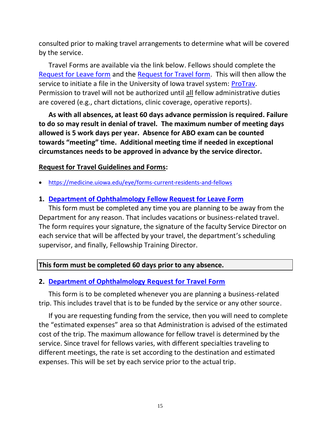consulted prior to making travel arrangements to determine what will be covered by the service.

Travel Forms are available via the link below. Fellows should complete the [Request for Leave form](https://medicine.uiowa.edu/eye/pathology/eye/eye/eye/eye/eye/eye/eye/sites/medicine.uiowa.edu.eye/files/Fellow-Request-Leave.doc) and the [Request for Travel form.](http://webeye.ophth.uiowa.edu/files/Dept-Request-Travel.doc) This will then allow the service to initiate a file in the University of Iowa travel system: [ProTrav.](https://hris.uiowa.edu/portal/) Permission to travel will not be authorized until all fellow administrative duties are covered (e.g., chart dictations, clinic coverage, operative reports).

**As with all absences, at least 60 days advance permission is required. Failure to do so may result in denial of travel. The maximum number of meeting days allowed is 5 work days per year. Absence for ABO exam can be counted towards "meeting" time. Additional meeting time if needed in exceptional circumstances needs to be approved in advance by the service director.** 

# <span id="page-14-0"></span>**Request for Travel Guidelines and Forms:**

• <https://medicine.uiowa.edu/eye/forms-current-residents-and-fellows>

# **1. [Department of Ophthalmology](https://medicine.uiowa.edu/eye/pathology/eye/eye/eye/eye/eye/eye/eye/sites/medicine.uiowa.edu.eye/files/Fellow-Request-Leave.doc) Fellow Request for Leave Form**

This form must be completed any time you are planning to be away from the Department for any reason. That includes vacations or business-related travel. The form requires your signature, the signature of the faculty Service Director on each service that will be affected by your travel, the department's scheduling supervisor, and finally, Fellowship Training Director.

## **This form must be completed 60 days prior to any absence.**

## **2. [Department of Ophthalmology](http://webeye.ophth.uiowa.edu/files/Dept-Request-Travel.doc) Request for Travel Form**

This form is to be completed whenever you are planning a business-related trip. This includes travel that is to be funded by the service or any other source.

If you are requesting funding from the service, then you will need to complete the "estimated expenses" area so that Administration is advised of the estimated cost of the trip. The maximum allowance for fellow travel is determined by the service. Since travel for fellows varies, with different specialties traveling to different meetings, the rate is set according to the destination and estimated expenses. This will be set by each service prior to the actual trip.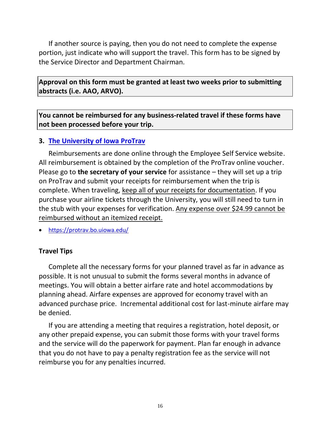If another source is paying, then you do not need to complete the expense portion, just indicate who will support the travel. This form has to be signed by the Service Director and Department Chairman.

**Approval on this form must be granted at least two weeks prior to submitting abstracts (i.e. AAO, ARVO).** 

**You cannot be reimbursed for any business-related travel if these forms have not been processed before your trip.**

## **3. [The University of Iowa](https://hris.uiowa.edu/portal/) ProTrav**

Reimbursements are done online through the Employee Self Service website. All reimbursement is obtained by the completion of the ProTrav online voucher. Please go to **the secretary of your service** for assistance – they will set up a trip on ProTrav and submit your receipts for reimbursement when the trip is complete. When traveling, keep all of your receipts for documentation. If you purchase your airline tickets through the University, you will still need to turn in the stub with your expenses for verification. Any expense over \$24.99 cannot be reimbursed without an itemized receipt.

• <https://protrav.bo.uiowa.edu/>

# <span id="page-15-0"></span>**Travel Tips**

Complete all the necessary forms for your planned travel as far in advance as possible. It is not unusual to submit the forms several months in advance of meetings. You will obtain a better airfare rate and hotel accommodations by planning ahead. Airfare expenses are approved for economy travel with an advanced purchase price. Incremental additional cost for last-minute airfare may be denied.

If you are attending a meeting that requires a registration, hotel deposit, or any other prepaid expense, you can submit those forms with your travel forms and the service will do the paperwork for payment. Plan far enough in advance that you do not have to pay a penalty registration fee as the service will not reimburse you for any penalties incurred.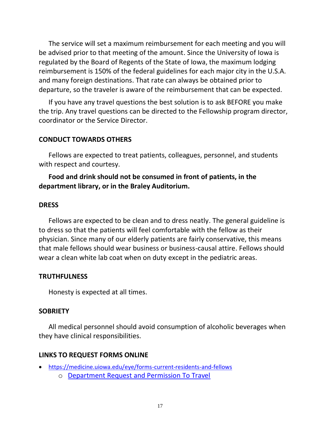The service will set a maximum reimbursement for each meeting and you will be advised prior to that meeting of the amount. Since the University of Iowa is regulated by the Board of Regents of the State of Iowa, the maximum lodging reimbursement is 150% of the federal guidelines for each major city in the U.S.A. and many foreign destinations. That rate can always be obtained prior to departure, so the traveler is aware of the reimbursement that can be expected.

If you have any travel questions the best solution is to ask BEFORE you make the trip. Any travel questions can be directed to the Fellowship program director, coordinator or the Service Director.

## <span id="page-16-0"></span>**CONDUCT TOWARDS OTHERS**

Fellows are expected to treat patients, colleagues, personnel, and students with respect and courtesy.

# **Food and drink should not be consumed in front of patients, in the department library, or in the Braley Auditorium.**

#### <span id="page-16-1"></span>**DRESS**

Fellows are expected to be clean and to dress neatly. The general guideline is to dress so that the patients will feel comfortable with the fellow as their physician. Since many of our elderly patients are fairly conservative, this means that male fellows should wear business or business-causal attire. Fellows should wear a clean white lab coat when on duty except in the pediatric areas.

#### **TRUTHFULNESS**

<span id="page-16-3"></span><span id="page-16-2"></span>Honesty is expected at all times.

#### **SOBRIETY**

All medical personnel should avoid consumption of alcoholic beverages when they have clinical responsibilities.

#### <span id="page-16-5"></span><span id="page-16-4"></span>**LINKS TO REQUEST FORMS ONLINE**

- <https://medicine.uiowa.edu/eye/forms-current-residents-and-fellows>
	- o [Department Request and Permission To Travel](http://webeye.ophth.uiowa.edu/files/Dept-Request-Travel.doc)